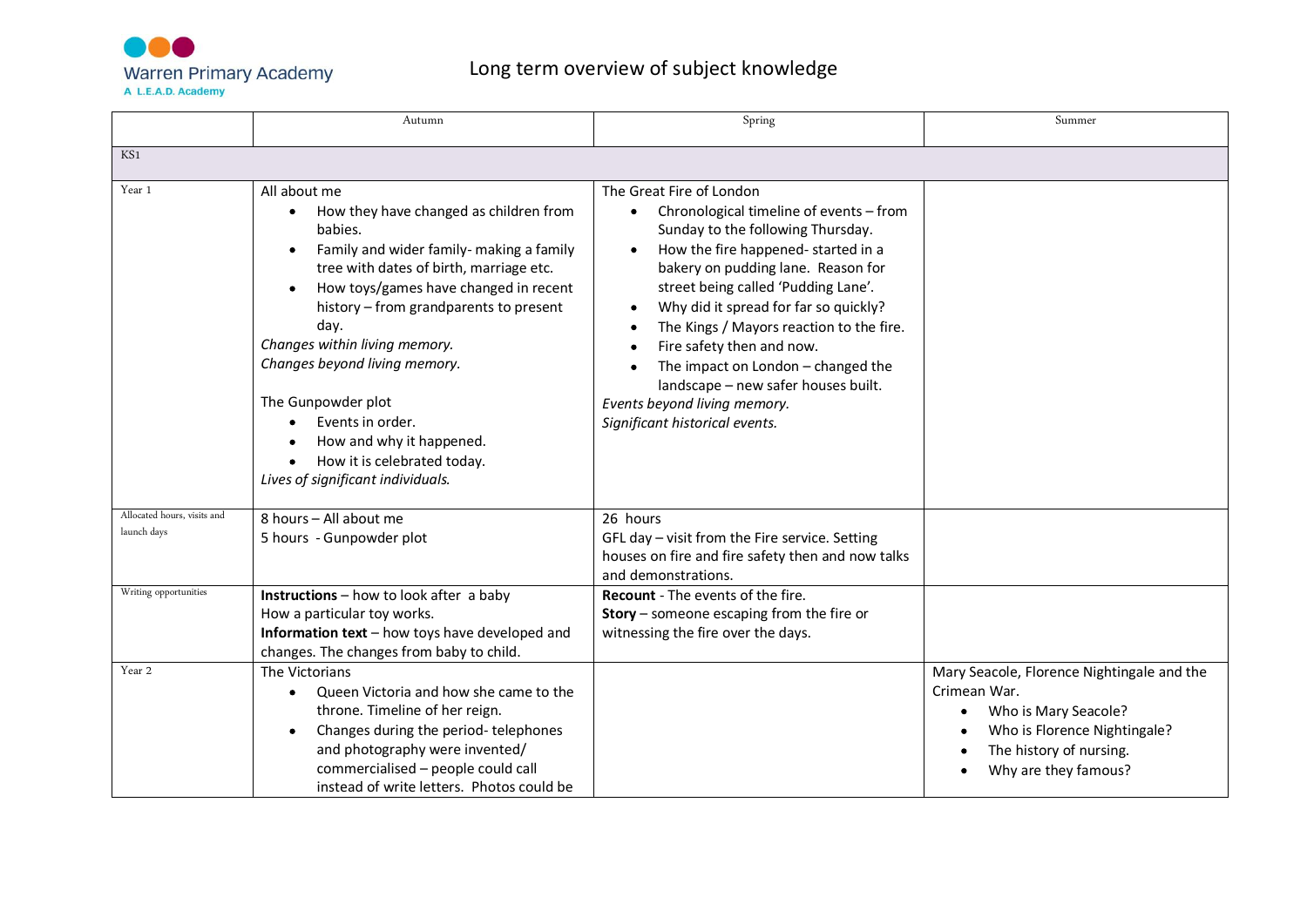

## Long term overview of subject knowledge

|                                            | Autumn                                                                                                                                                                                                                                                                                                                                                                                                                                                          | Spring                                                                                                                                                                                                                                                                                                                                                                                                                                                                                                                 | Summer                                                                                                                                                                |
|--------------------------------------------|-----------------------------------------------------------------------------------------------------------------------------------------------------------------------------------------------------------------------------------------------------------------------------------------------------------------------------------------------------------------------------------------------------------------------------------------------------------------|------------------------------------------------------------------------------------------------------------------------------------------------------------------------------------------------------------------------------------------------------------------------------------------------------------------------------------------------------------------------------------------------------------------------------------------------------------------------------------------------------------------------|-----------------------------------------------------------------------------------------------------------------------------------------------------------------------|
| KS1                                        |                                                                                                                                                                                                                                                                                                                                                                                                                                                                 |                                                                                                                                                                                                                                                                                                                                                                                                                                                                                                                        |                                                                                                                                                                       |
| Year 1                                     | All about me<br>How they have changed as children from<br>babies.<br>Family and wider family- making a family<br>tree with dates of birth, marriage etc.<br>How toys/games have changed in recent<br>history - from grandparents to present<br>day.<br>Changes within living memory.<br>Changes beyond living memory.<br>The Gunpowder plot<br>Events in order.<br>How and why it happened.<br>How it is celebrated today.<br>Lives of significant individuals. | The Great Fire of London<br>Chronological timeline of events - from<br>$\bullet$<br>Sunday to the following Thursday.<br>How the fire happened-started in a<br>$\bullet$<br>bakery on pudding lane. Reason for<br>street being called 'Pudding Lane'.<br>Why did it spread for far so quickly?<br>The Kings / Mayors reaction to the fire.<br>Fire safety then and now.<br>The impact on London - changed the<br>landscape - new safer houses built.<br>Events beyond living memory.<br>Significant historical events. |                                                                                                                                                                       |
| Allocated hours, visits and<br>launch days | 8 hours - All about me<br>5 hours - Gunpowder plot                                                                                                                                                                                                                                                                                                                                                                                                              | 26 hours<br>GFL day - visit from the Fire service. Setting<br>houses on fire and fire safety then and now talks<br>and demonstrations.                                                                                                                                                                                                                                                                                                                                                                                 |                                                                                                                                                                       |
| Writing opportunities                      | <b>Instructions</b> – how to look after a baby<br>How a particular toy works.<br>Information text - how toys have developed and<br>changes. The changes from baby to child.                                                                                                                                                                                                                                                                                     | Recount - The events of the fire.<br><b>Story</b> – someone escaping from the fire or<br>witnessing the fire over the days.                                                                                                                                                                                                                                                                                                                                                                                            |                                                                                                                                                                       |
| Year 2                                     | The Victorians<br>Queen Victoria and how she came to the<br>$\bullet$<br>throne. Timeline of her reign.<br>Changes during the period-telephones<br>and photography were invented/<br>commercialised - people could call<br>instead of write letters. Photos could be                                                                                                                                                                                            |                                                                                                                                                                                                                                                                                                                                                                                                                                                                                                                        | Mary Seacole, Florence Nightingale and the<br>Crimean War.<br>Who is Mary Seacole?<br>Who is Florence Nightingale?<br>The history of nursing.<br>Why are they famous? |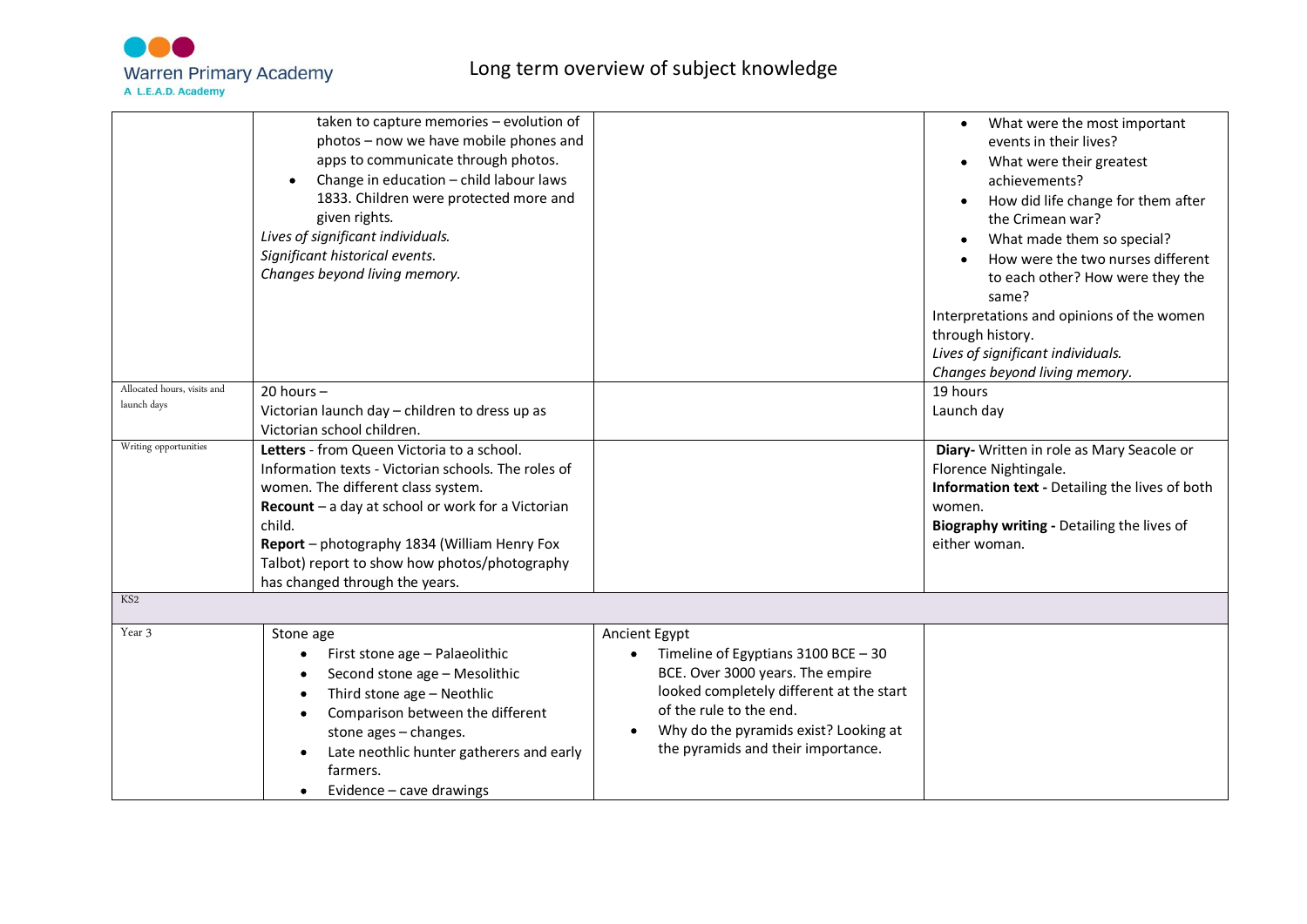

| Allocated hours, visits and<br>launch days<br>Writing opportunities | taken to capture memories - evolution of<br>photos - now we have mobile phones and<br>apps to communicate through photos.<br>Change in education - child labour laws<br>1833. Children were protected more and<br>given rights.<br>Lives of significant individuals.<br>Significant historical events.<br>Changes beyond living memory.<br>$20$ hours $-$<br>Victorian launch day - children to dress up as<br>Victorian school children.<br><b>Letters</b> - from Queen Victoria to a school.<br>Information texts - Victorian schools. The roles of |                                                                                                                                                                                                                                                               | What were the most important<br>events in their lives?<br>What were their greatest<br>$\bullet$<br>achievements?<br>How did life change for them after<br>the Crimean war?<br>What made them so special?<br>How were the two nurses different<br>to each other? How were they the<br>same?<br>Interpretations and opinions of the women<br>through history.<br>Lives of significant individuals.<br>Changes beyond living memory.<br>19 hours<br>Launch day<br>Diary- Written in role as Mary Seacole or<br>Florence Nightingale. |
|---------------------------------------------------------------------|-------------------------------------------------------------------------------------------------------------------------------------------------------------------------------------------------------------------------------------------------------------------------------------------------------------------------------------------------------------------------------------------------------------------------------------------------------------------------------------------------------------------------------------------------------|---------------------------------------------------------------------------------------------------------------------------------------------------------------------------------------------------------------------------------------------------------------|-----------------------------------------------------------------------------------------------------------------------------------------------------------------------------------------------------------------------------------------------------------------------------------------------------------------------------------------------------------------------------------------------------------------------------------------------------------------------------------------------------------------------------------|
|                                                                     | women. The different class system.<br>Recount - a day at school or work for a Victorian<br>child.<br>Report - photography 1834 (William Henry Fox<br>Talbot) report to show how photos/photography<br>has changed through the years.                                                                                                                                                                                                                                                                                                                  |                                                                                                                                                                                                                                                               | Information text - Detailing the lives of both<br>women.<br>Biography writing - Detailing the lives of<br>either woman.                                                                                                                                                                                                                                                                                                                                                                                                           |
| KS <sub>2</sub>                                                     |                                                                                                                                                                                                                                                                                                                                                                                                                                                                                                                                                       |                                                                                                                                                                                                                                                               |                                                                                                                                                                                                                                                                                                                                                                                                                                                                                                                                   |
| Year 3                                                              | Stone age<br>First stone age - Palaeolithic<br>٠<br>Second stone age - Mesolithic<br>٠<br>Third stone age - Neothlic<br>Comparison between the different<br>$\bullet$<br>stone ages - changes.<br>Late neothlic hunter gatherers and early<br>٠<br>farmers.<br>Evidence – cave drawings                                                                                                                                                                                                                                                               | Ancient Egypt<br>Timeline of Egyptians $3100$ BCE - 30<br>BCE. Over 3000 years. The empire<br>looked completely different at the start<br>of the rule to the end.<br>Why do the pyramids exist? Looking at<br>$\bullet$<br>the pyramids and their importance. |                                                                                                                                                                                                                                                                                                                                                                                                                                                                                                                                   |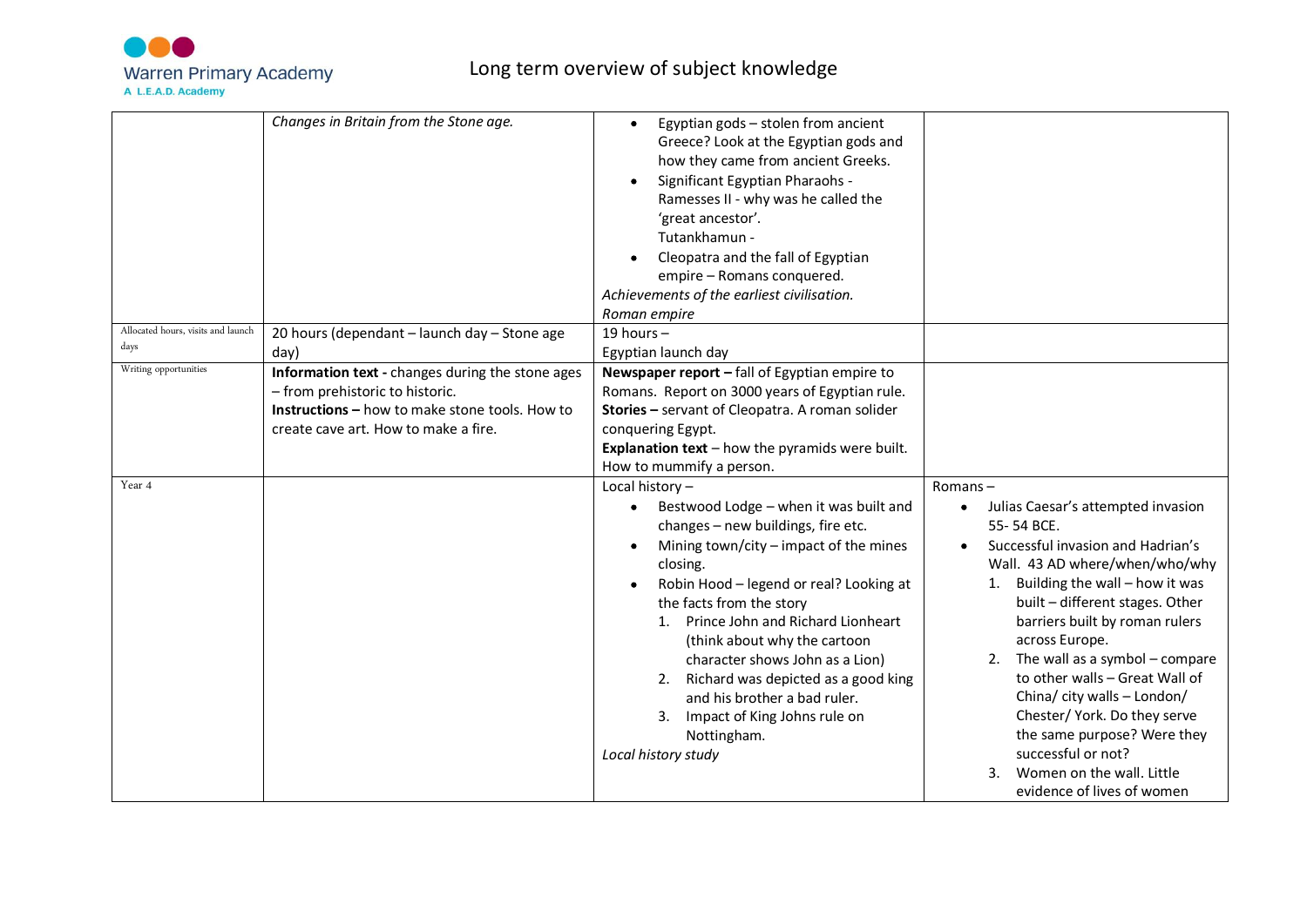

|                                    | Changes in Britain from the Stone age.                                                                                                                                               | Egyptian gods - stolen from ancient<br>Greece? Look at the Egyptian gods and<br>how they came from ancient Greeks.<br>Significant Egyptian Pharaohs -<br>Ramesses II - why was he called the<br>'great ancestor'.<br>Tutankhamun -<br>Cleopatra and the fall of Egyptian<br>empire - Romans conquered.<br>Achievements of the earliest civilisation.<br>Roman empire                                                                                                                              |                                                                                                                                                                                                                                                                                                                                                                                                                                                                                                                                                  |
|------------------------------------|--------------------------------------------------------------------------------------------------------------------------------------------------------------------------------------|---------------------------------------------------------------------------------------------------------------------------------------------------------------------------------------------------------------------------------------------------------------------------------------------------------------------------------------------------------------------------------------------------------------------------------------------------------------------------------------------------|--------------------------------------------------------------------------------------------------------------------------------------------------------------------------------------------------------------------------------------------------------------------------------------------------------------------------------------------------------------------------------------------------------------------------------------------------------------------------------------------------------------------------------------------------|
| Allocated hours, visits and launch | 20 hours (dependant - launch day - Stone age                                                                                                                                         | 19 hours $-$                                                                                                                                                                                                                                                                                                                                                                                                                                                                                      |                                                                                                                                                                                                                                                                                                                                                                                                                                                                                                                                                  |
| days                               | day)                                                                                                                                                                                 | Egyptian launch day                                                                                                                                                                                                                                                                                                                                                                                                                                                                               |                                                                                                                                                                                                                                                                                                                                                                                                                                                                                                                                                  |
| Writing opportunities              | Information text - changes during the stone ages<br>- from prehistoric to historic.<br><b>Instructions - how to make stone tools. How to</b><br>create cave art. How to make a fire. | Newspaper report - fall of Egyptian empire to<br>Romans. Report on 3000 years of Egyptian rule.<br>Stories - servant of Cleopatra. A roman solider<br>conquering Egypt.<br><b>Explanation text</b> $-$ how the pyramids were built.<br>How to mummify a person.                                                                                                                                                                                                                                   |                                                                                                                                                                                                                                                                                                                                                                                                                                                                                                                                                  |
| Year 4                             |                                                                                                                                                                                      | Local history-<br>Bestwood Lodge - when it was built and<br>changes - new buildings, fire etc.<br>Mining town/city $-$ impact of the mines<br>closing.<br>Robin Hood - legend or real? Looking at<br>the facts from the story<br>1. Prince John and Richard Lionheart<br>(think about why the cartoon<br>character shows John as a Lion)<br>Richard was depicted as a good king<br>2.<br>and his brother a bad ruler.<br>Impact of King Johns rule on<br>3.<br>Nottingham.<br>Local history study | $Romans -$<br>Julias Caesar's attempted invasion<br>$\bullet$<br>55-54 BCE.<br>Successful invasion and Hadrian's<br>Wall. 43 AD where/when/who/why<br>Building the wall - how it was<br>1.<br>built - different stages. Other<br>barriers built by roman rulers<br>across Europe.<br>The wall as a symbol - compare<br>2.<br>to other walls - Great Wall of<br>China/ city walls - London/<br>Chester/ York. Do they serve<br>the same purpose? Were they<br>successful or not?<br>Women on the wall. Little<br>3.<br>evidence of lives of women |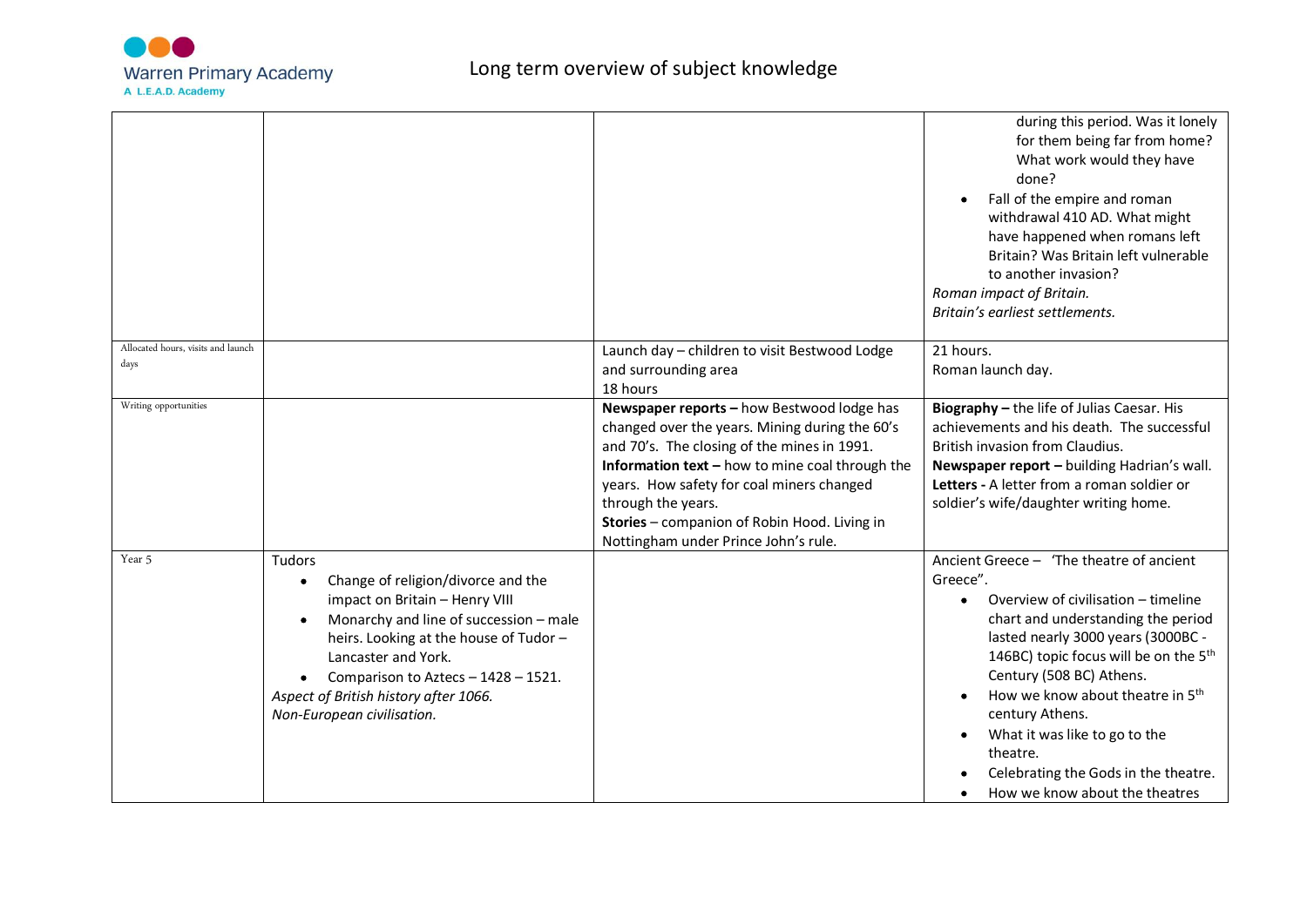

|                                            |                                                                                                                                                                                                                                                                                                              |                                                                                                                                                                                                                                                                                                                                                           | during this period. Was it lonely<br>for them being far from home?<br>What work would they have<br>done?<br>Fall of the empire and roman<br>withdrawal 410 AD. What might<br>have happened when romans left<br>Britain? Was Britain left vulnerable<br>to another invasion?<br>Roman impact of Britain.<br>Britain's earliest settlements.                                                                                                                      |
|--------------------------------------------|--------------------------------------------------------------------------------------------------------------------------------------------------------------------------------------------------------------------------------------------------------------------------------------------------------------|-----------------------------------------------------------------------------------------------------------------------------------------------------------------------------------------------------------------------------------------------------------------------------------------------------------------------------------------------------------|-----------------------------------------------------------------------------------------------------------------------------------------------------------------------------------------------------------------------------------------------------------------------------------------------------------------------------------------------------------------------------------------------------------------------------------------------------------------|
| Allocated hours, visits and launch<br>days |                                                                                                                                                                                                                                                                                                              | Launch day - children to visit Bestwood Lodge<br>and surrounding area<br>18 hours                                                                                                                                                                                                                                                                         | 21 hours.<br>Roman launch day.                                                                                                                                                                                                                                                                                                                                                                                                                                  |
| Writing opportunities                      |                                                                                                                                                                                                                                                                                                              | Newspaper reports - how Bestwood lodge has<br>changed over the years. Mining during the 60's<br>and 70's. The closing of the mines in 1991.<br>Information text - how to mine coal through the<br>years. How safety for coal miners changed<br>through the years.<br>Stories - companion of Robin Hood. Living in<br>Nottingham under Prince John's rule. | Biography - the life of Julias Caesar. His<br>achievements and his death. The successful<br>British invasion from Claudius.<br>Newspaper report - building Hadrian's wall.<br>Letters - A letter from a roman soldier or<br>soldier's wife/daughter writing home.                                                                                                                                                                                               |
| Year 5                                     | Tudors<br>Change of religion/divorce and the<br>٠<br>impact on Britain - Henry VIII<br>Monarchy and line of succession - male<br>heirs. Looking at the house of Tudor -<br>Lancaster and York.<br>Comparison to Aztecs - 1428 - 1521.<br>Aspect of British history after 1066.<br>Non-European civilisation. |                                                                                                                                                                                                                                                                                                                                                           | Ancient Greece - 'The theatre of ancient<br>Greece".<br>Overview of civilisation - timeline<br>$\bullet$<br>chart and understanding the period<br>lasted nearly 3000 years (3000BC -<br>146BC) topic focus will be on the 5 <sup>th</sup><br>Century (508 BC) Athens.<br>How we know about theatre in 5 <sup>th</sup><br>century Athens.<br>What it was like to go to the<br>theatre.<br>Celebrating the Gods in the theatre.<br>How we know about the theatres |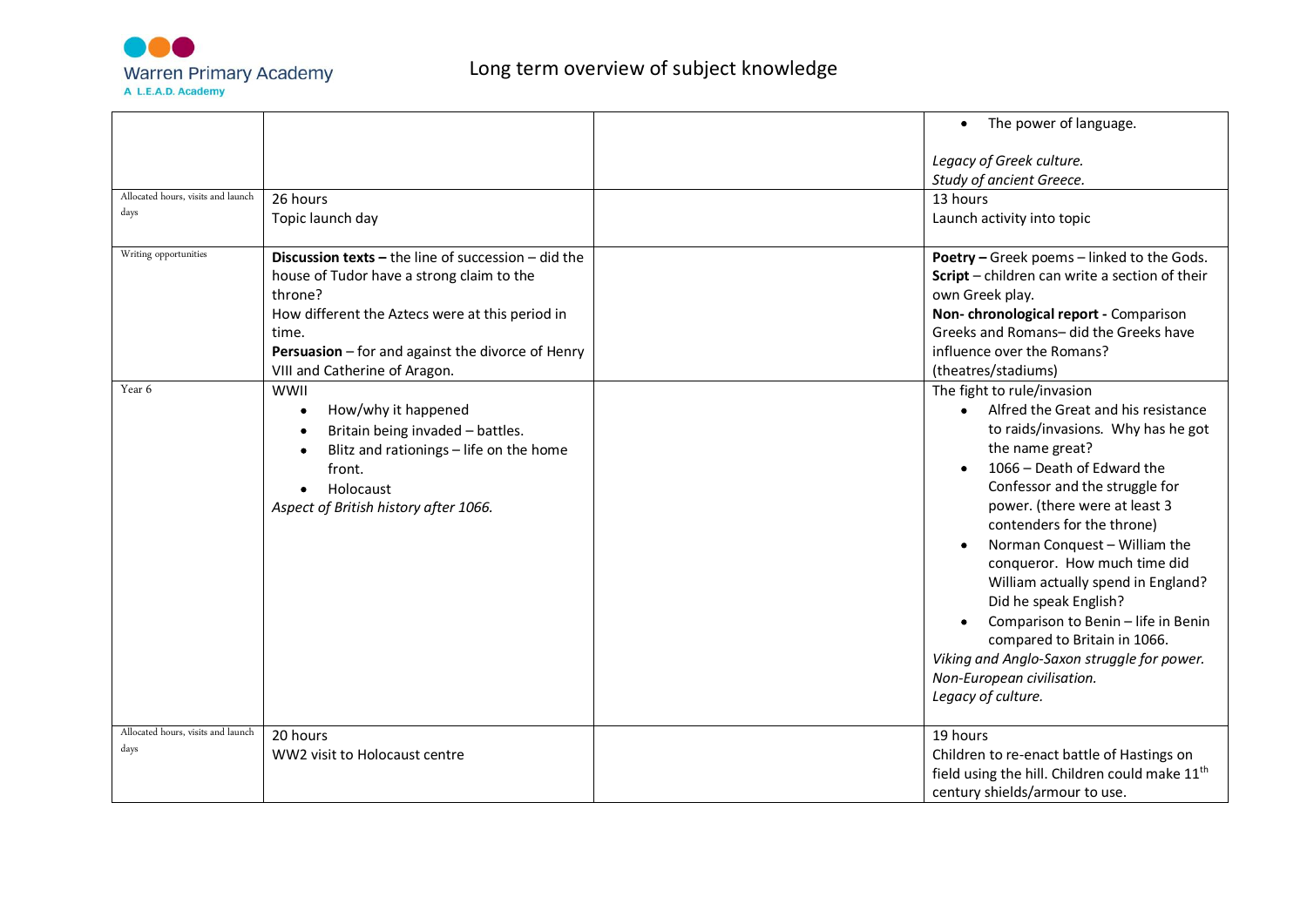

|                                            |                                                                                                                                                                                                                                                                      | The power of language.<br>$\bullet$                                                                                                                                                                                                                                                                                                                                                                                                                                                                                                                                             |
|--------------------------------------------|----------------------------------------------------------------------------------------------------------------------------------------------------------------------------------------------------------------------------------------------------------------------|---------------------------------------------------------------------------------------------------------------------------------------------------------------------------------------------------------------------------------------------------------------------------------------------------------------------------------------------------------------------------------------------------------------------------------------------------------------------------------------------------------------------------------------------------------------------------------|
|                                            |                                                                                                                                                                                                                                                                      | Legacy of Greek culture.<br>Study of ancient Greece.                                                                                                                                                                                                                                                                                                                                                                                                                                                                                                                            |
| Allocated hours, visits and launch<br>days | 26 hours<br>Topic launch day                                                                                                                                                                                                                                         | 13 hours<br>Launch activity into topic                                                                                                                                                                                                                                                                                                                                                                                                                                                                                                                                          |
| Writing opportunities                      | <b>Discussion texts - the line of succession - did the</b><br>house of Tudor have a strong claim to the<br>throne?<br>How different the Aztecs were at this period in<br>time.<br>Persuasion - for and against the divorce of Henry<br>VIII and Catherine of Aragon. | Poetry - Greek poems - linked to the Gods.<br>Script - children can write a section of their<br>own Greek play.<br>Non-chronological report - Comparison<br>Greeks and Romans- did the Greeks have<br>influence over the Romans?<br>(theatres/stadiums)                                                                                                                                                                                                                                                                                                                         |
| Year 6                                     | WWII<br>How/why it happened<br>Britain being invaded - battles.<br>Blitz and rationings - life on the home<br>front.<br>Holocaust<br>Aspect of British history after 1066.                                                                                           | The fight to rule/invasion<br>Alfred the Great and his resistance<br>$\bullet$<br>to raids/invasions. Why has he got<br>the name great?<br>1066 - Death of Edward the<br>Confessor and the struggle for<br>power. (there were at least 3<br>contenders for the throne)<br>Norman Conquest - William the<br>conqueror. How much time did<br>William actually spend in England?<br>Did he speak English?<br>Comparison to Benin - life in Benin<br>compared to Britain in 1066.<br>Viking and Anglo-Saxon struggle for power.<br>Non-European civilisation.<br>Legacy of culture. |
| Allocated hours, visits and launch<br>days | 20 hours<br>WW2 visit to Holocaust centre                                                                                                                                                                                                                            | 19 hours<br>Children to re-enact battle of Hastings on<br>field using the hill. Children could make 11 <sup>th</sup><br>century shields/armour to use.                                                                                                                                                                                                                                                                                                                                                                                                                          |